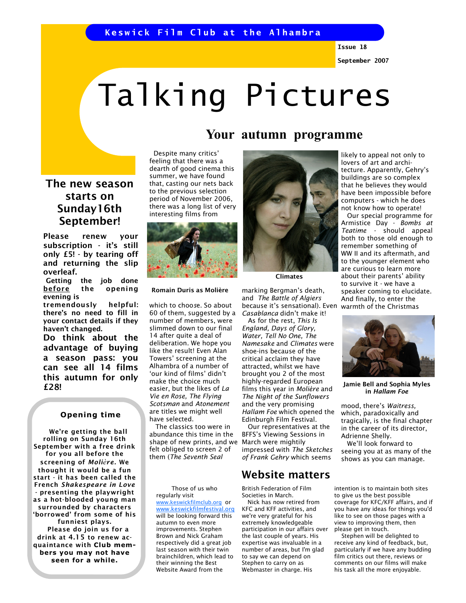Issue 18

September 2007

# Talking Pictures

# Your autumn programme

The new season starts on Sunday16th September!

Please renew your subscription - it's still only £5! - by tearing off and returning the slip overleaf.

Getting the job done before the opening evening is

tremendously helpful: there's no need to fill in your contact details if they haven't changed.

Do think about the advantage of buying a season pass: you can see all 14 films this autumn for only £28!

### Opening time

 We're getting the ball rolling on Sunday 16th September with a free drink for you all before the screening of Molière. We thought it would be a fun start - it has been called the French Shakespeare in Love - presenting the playwright as a hot-blooded young man surrounded by characters 'borrowed' from some of his funniest plays. Please do join us for a drink at 4.15 to renew acquaintance with Club members you may not have seen for a while.

 Despite many critics' feeling that there was a dearth of good cinema this summer, we have found that, casting our nets back to the previous selection period of November 2006, there was a long list of very interesting films from



#### Romain Duris as Molière

which to choose. So about 60 of them, suggested by a number of members, were slimmed down to our final 14 after quite a deal of deliberation. We hope you like the result! Even Alan Towers' screening at the Alhambra of a number of 'our kind of films' didn't make the choice much easier, but the likes of La Vie en Rose, The Flying Scotsman and Atonement are titles we might well have selected.

 The classics too were in abundance this time in the shape of new prints, and we felt obliged to screen 2 of them (The Seventh Seal

 Those of us who regularly visit www.keswickfilmclub.org or www.keswickfilmfestival.org will be looking forward this autumn to even more improvements. Stephen Brown and Nick Graham respectively did a great job last season with their twin brainchildren, which lead to their winning the Best Website Award from the



Climates

marking Bergman's death, and The Battle of Algiers because it's sensational). Even Casablanca didn't make it!

 As for the rest, This Is England, Days of Glory, Water, Tell No One, The Namesake and Climates were shoe-ins because of the critical acclaim they have attracted, whilst we have brought you 2 of the most highly-regarded European films this year in Molière and The Night of the Sunflowers and the very promising Hallam Foe which opened the Edinburgh Film Festival.

 Our representatives at the BFFS's Viewing Sessions in March were mightily impressed with The Sketches of Frank Gehry which seems

# Website matters

British Federation of Film Societies in March.

 Nick has now retired from KFC and KFF activities, and we're very grateful for his extremely knowledgeable participation in our affairs over the last couple of years. His expertise was invaluable in a number of areas, but I'm glad to say we can depend on Stephen to carry on as Webmaster in charge. His

likely to appeal not only to lovers of art and architecture. Apparently, Gehry's buildings are so complex that he believes they would have been impossible before computers - which he does not know how to operate!

 Our special programme for Armistice Day - Bombs at Teatime - should appeal both to those old enough to remember something of WW II and its aftermath, and to the younger element who are curious to learn more about their parents' ability to survive it - we have a speaker coming to elucidate. And finally, to enter the warmth of the Christmas



Jamie Bell and Sophia Myles in Hallam Foe

mood, there's Waitress, which, paradoxically and tragically, is the final chapter in the career of its director, Adrienne Shelly.

 We'll look forward to seeing you at as many of the shows as you can manage.

intention is to maintain both sites to give us the best possible coverage for KFC/KFF affairs, and if you have any ideas for things you'd like to see on those pages with a view to improving them, then please get in touch.

 Stephen will be delighted to receive any kind of feedback, but, particularly if we have any budding film critics out there, reviews or comments on our films will make his task all the more enjoyable.